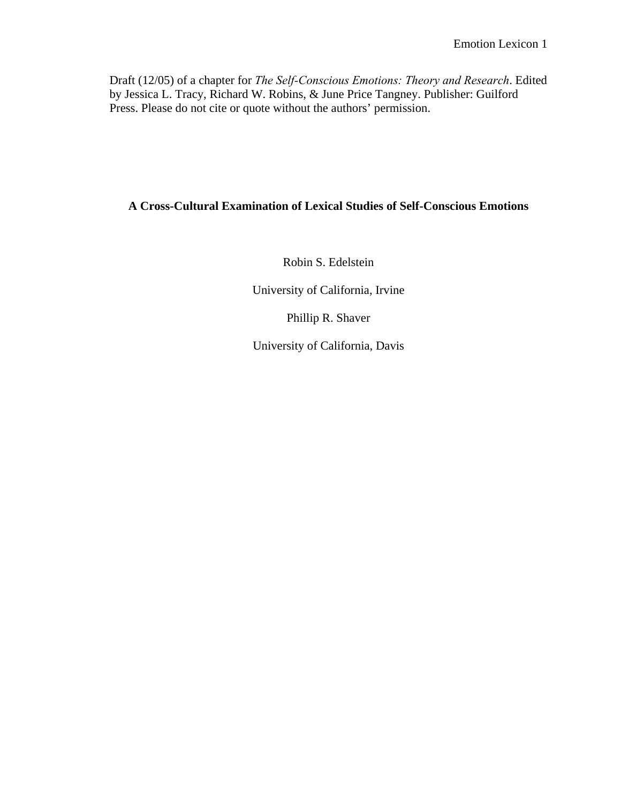Draft (12/05) of a chapter for *The Self-Conscious Emotions: Theory and Research*. Edited by Jessica L. Tracy, Richard W. Robins, & June Price Tangney. Publisher: Guilford Press. Please do not cite or quote without the authors' permission.

# **A Cross-Cultural Examination of Lexical Studies of Self-Conscious Emotions**

Robin S. Edelstein

University of California, Irvine

Phillip R. Shaver

University of California, Davis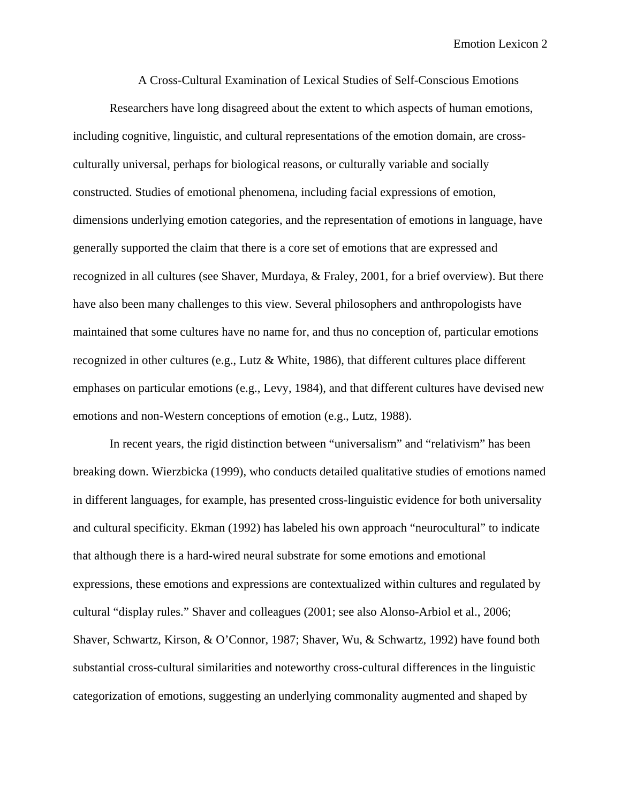A Cross-Cultural Examination of Lexical Studies of Self-Conscious Emotions

Researchers have long disagreed about the extent to which aspects of human emotions, including cognitive, linguistic, and cultural representations of the emotion domain, are crossculturally universal, perhaps for biological reasons, or culturally variable and socially constructed. Studies of emotional phenomena, including facial expressions of emotion, dimensions underlying emotion categories, and the representation of emotions in language, have generally supported the claim that there is a core set of emotions that are expressed and recognized in all cultures (see Shaver, Murdaya, & Fraley, 2001, for a brief overview). But there have also been many challenges to this view. Several philosophers and anthropologists have maintained that some cultures have no name for, and thus no conception of, particular emotions recognized in other cultures (e.g., Lutz & White, 1986), that different cultures place different emphases on particular emotions (e.g., Levy, 1984), and that different cultures have devised new emotions and non-Western conceptions of emotion (e.g., Lutz, 1988).

In recent years, the rigid distinction between "universalism" and "relativism" has been breaking down. Wierzbicka (1999), who conducts detailed qualitative studies of emotions named in different languages, for example, has presented cross-linguistic evidence for both universality and cultural specificity. Ekman (1992) has labeled his own approach "neurocultural" to indicate that although there is a hard-wired neural substrate for some emotions and emotional expressions, these emotions and expressions are contextualized within cultures and regulated by cultural "display rules." Shaver and colleagues (2001; see also Alonso-Arbiol et al., 2006; Shaver, Schwartz, Kirson, & O'Connor, 1987; Shaver, Wu, & Schwartz, 1992) have found both substantial cross-cultural similarities and noteworthy cross-cultural differences in the linguistic categorization of emotions, suggesting an underlying commonality augmented and shaped by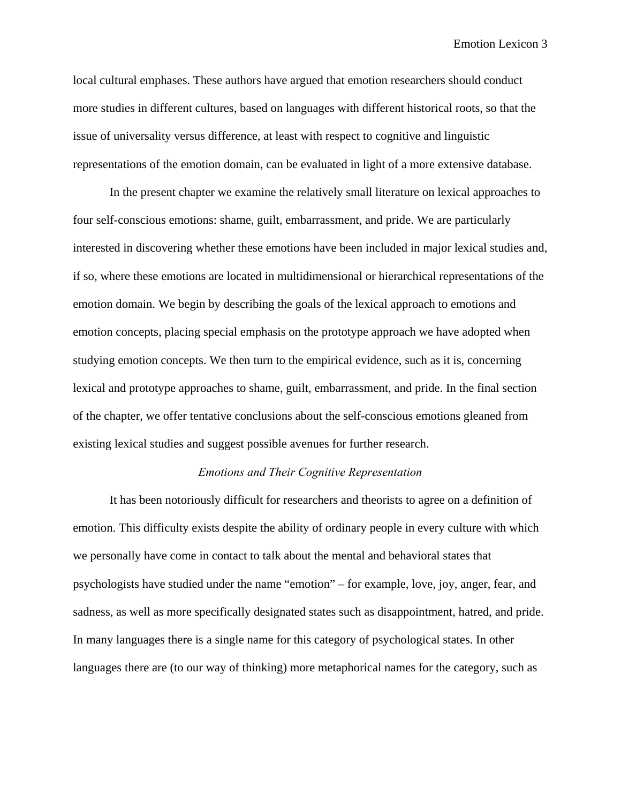local cultural emphases. These authors have argued that emotion researchers should conduct more studies in different cultures, based on languages with different historical roots, so that the issue of universality versus difference, at least with respect to cognitive and linguistic representations of the emotion domain, can be evaluated in light of a more extensive database.

In the present chapter we examine the relatively small literature on lexical approaches to four self-conscious emotions: shame, guilt, embarrassment, and pride. We are particularly interested in discovering whether these emotions have been included in major lexical studies and, if so, where these emotions are located in multidimensional or hierarchical representations of the emotion domain. We begin by describing the goals of the lexical approach to emotions and emotion concepts, placing special emphasis on the prototype approach we have adopted when studying emotion concepts. We then turn to the empirical evidence, such as it is, concerning lexical and prototype approaches to shame, guilt, embarrassment, and pride. In the final section of the chapter, we offer tentative conclusions about the self-conscious emotions gleaned from existing lexical studies and suggest possible avenues for further research.

### *Emotions and Their Cognitive Representation*

It has been notoriously difficult for researchers and theorists to agree on a definition of emotion. This difficulty exists despite the ability of ordinary people in every culture with which we personally have come in contact to talk about the mental and behavioral states that psychologists have studied under the name "emotion" – for example, love, joy, anger, fear, and sadness, as well as more specifically designated states such as disappointment, hatred, and pride. In many languages there is a single name for this category of psychological states. In other languages there are (to our way of thinking) more metaphorical names for the category, such as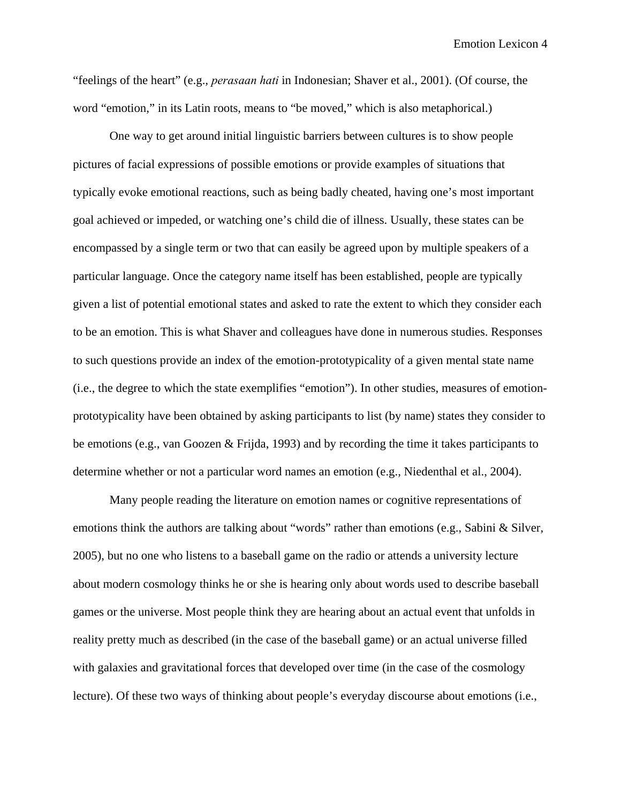"feelings of the heart" (e.g., *perasaan hati* in Indonesian; Shaver et al., 2001). (Of course, the word "emotion," in its Latin roots, means to "be moved," which is also metaphorical.)

One way to get around initial linguistic barriers between cultures is to show people pictures of facial expressions of possible emotions or provide examples of situations that typically evoke emotional reactions, such as being badly cheated, having one's most important goal achieved or impeded, or watching one's child die of illness. Usually, these states can be encompassed by a single term or two that can easily be agreed upon by multiple speakers of a particular language. Once the category name itself has been established, people are typically given a list of potential emotional states and asked to rate the extent to which they consider each to be an emotion. This is what Shaver and colleagues have done in numerous studies. Responses to such questions provide an index of the emotion-prototypicality of a given mental state name (i.e., the degree to which the state exemplifies "emotion"). In other studies, measures of emotionprototypicality have been obtained by asking participants to list (by name) states they consider to be emotions (e.g., van Goozen & Frijda, 1993) and by recording the time it takes participants to determine whether or not a particular word names an emotion (e.g., Niedenthal et al., 2004).

Many people reading the literature on emotion names or cognitive representations of emotions think the authors are talking about "words" rather than emotions (e.g., Sabini & Silver, 2005), but no one who listens to a baseball game on the radio or attends a university lecture about modern cosmology thinks he or she is hearing only about words used to describe baseball games or the universe. Most people think they are hearing about an actual event that unfolds in reality pretty much as described (in the case of the baseball game) or an actual universe filled with galaxies and gravitational forces that developed over time (in the case of the cosmology lecture). Of these two ways of thinking about people's everyday discourse about emotions (i.e.,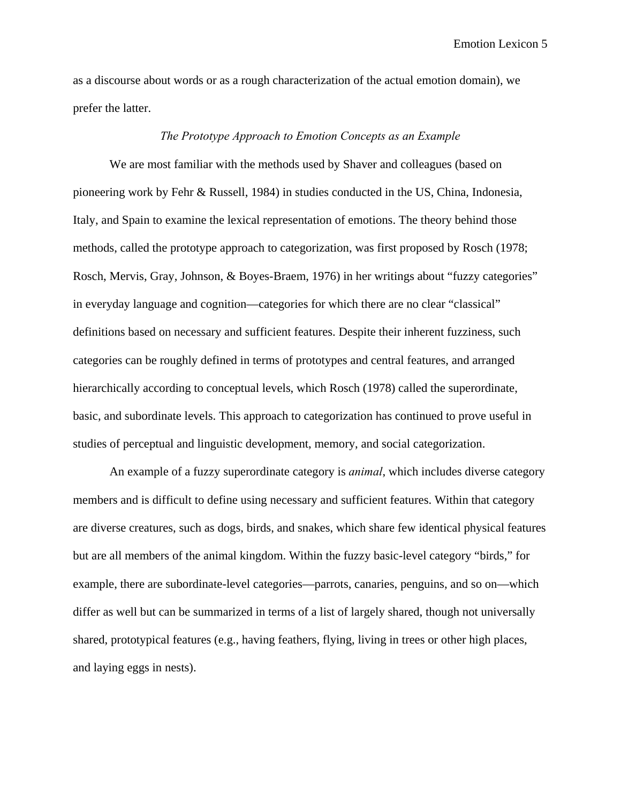as a discourse about words or as a rough characterization of the actual emotion domain), we prefer the latter.

### *The Prototype Approach to Emotion Concepts as an Example*

We are most familiar with the methods used by Shaver and colleagues (based on pioneering work by Fehr & Russell, 1984) in studies conducted in the US, China, Indonesia, Italy, and Spain to examine the lexical representation of emotions. The theory behind those methods, called the prototype approach to categorization, was first proposed by Rosch (1978; Rosch, Mervis, Gray, Johnson, & Boyes-Braem, 1976) in her writings about "fuzzy categories" in everyday language and cognition—categories for which there are no clear "classical" definitions based on necessary and sufficient features. Despite their inherent fuzziness, such categories can be roughly defined in terms of prototypes and central features, and arranged hierarchically according to conceptual levels, which Rosch (1978) called the superordinate, basic, and subordinate levels. This approach to categorization has continued to prove useful in studies of perceptual and linguistic development, memory, and social categorization.

An example of a fuzzy superordinate category is *animal*, which includes diverse category members and is difficult to define using necessary and sufficient features. Within that category are diverse creatures, such as dogs, birds, and snakes, which share few identical physical features but are all members of the animal kingdom. Within the fuzzy basic-level category "birds," for example, there are subordinate-level categories—parrots, canaries, penguins, and so on—which differ as well but can be summarized in terms of a list of largely shared, though not universally shared, prototypical features (e.g., having feathers, flying, living in trees or other high places, and laying eggs in nests).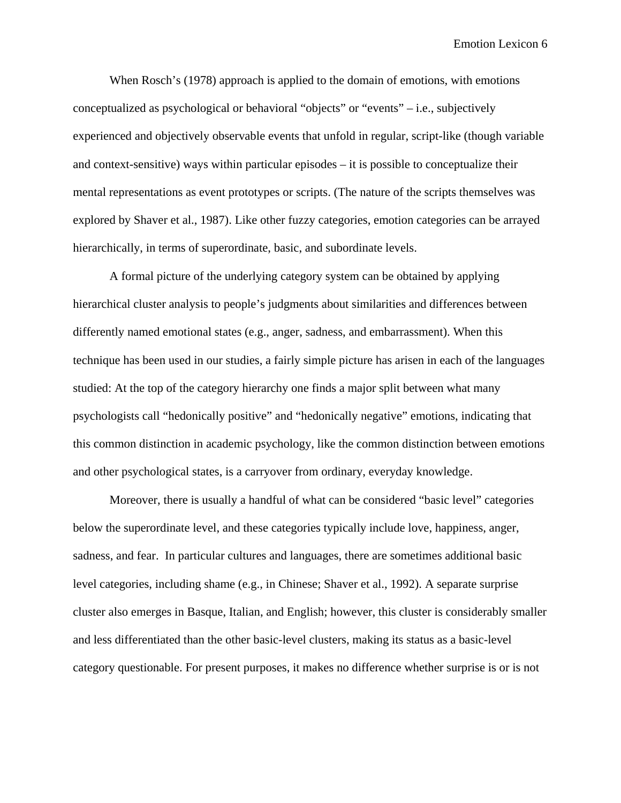When Rosch's (1978) approach is applied to the domain of emotions, with emotions conceptualized as psychological or behavioral "objects" or "events" – i.e., subjectively experienced and objectively observable events that unfold in regular, script-like (though variable and context-sensitive) ways within particular episodes – it is possible to conceptualize their mental representations as event prototypes or scripts. (The nature of the scripts themselves was explored by Shaver et al., 1987). Like other fuzzy categories, emotion categories can be arrayed hierarchically, in terms of superordinate, basic, and subordinate levels.

A formal picture of the underlying category system can be obtained by applying hierarchical cluster analysis to people's judgments about similarities and differences between differently named emotional states (e.g., anger, sadness, and embarrassment). When this technique has been used in our studies, a fairly simple picture has arisen in each of the languages studied: At the top of the category hierarchy one finds a major split between what many psychologists call "hedonically positive" and "hedonically negative" emotions, indicating that this common distinction in academic psychology, like the common distinction between emotions and other psychological states, is a carryover from ordinary, everyday knowledge.

Moreover, there is usually a handful of what can be considered "basic level" categories below the superordinate level, and these categories typically include love, happiness, anger, sadness, and fear. In particular cultures and languages, there are sometimes additional basic level categories, including shame (e.g., in Chinese; Shaver et al., 1992). A separate surprise cluster also emerges in Basque, Italian, and English; however, this cluster is considerably smaller and less differentiated than the other basic-level clusters, making its status as a basic-level category questionable. For present purposes, it makes no difference whether surprise is or is not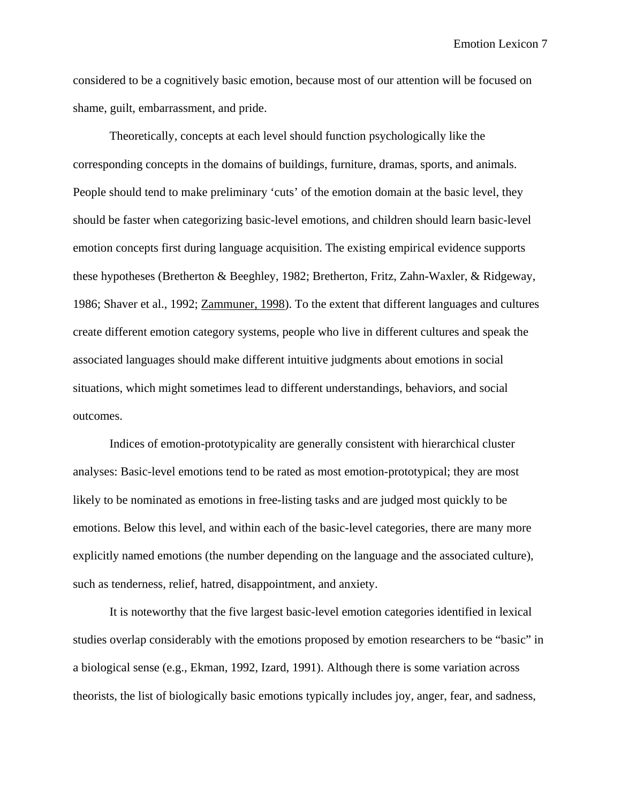considered to be a cognitively basic emotion, because most of our attention will be focused on shame, guilt, embarrassment, and pride.

Theoretically, concepts at each level should function psychologically like the corresponding concepts in the domains of buildings, furniture, dramas, sports, and animals. People should tend to make preliminary 'cuts' of the emotion domain at the basic level, they should be faster when categorizing basic-level emotions, and children should learn basic-level emotion concepts first during language acquisition. The existing empirical evidence supports these hypotheses (Bretherton & Beeghley, 1982; Bretherton, Fritz, Zahn-Waxler, & Ridgeway, 1986; Shaver et al., 1992; Zammuner, 1998). To the extent that different languages and cultures create different emotion category systems, people who live in different cultures and speak the associated languages should make different intuitive judgments about emotions in social situations, which might sometimes lead to different understandings, behaviors, and social outcomes.

Indices of emotion-prototypicality are generally consistent with hierarchical cluster analyses: Basic-level emotions tend to be rated as most emotion-prototypical; they are most likely to be nominated as emotions in free-listing tasks and are judged most quickly to be emotions. Below this level, and within each of the basic-level categories, there are many more explicitly named emotions (the number depending on the language and the associated culture), such as tenderness, relief, hatred, disappointment, and anxiety.

It is noteworthy that the five largest basic-level emotion categories identified in lexical studies overlap considerably with the emotions proposed by emotion researchers to be "basic" in a biological sense (e.g., Ekman, 1992, Izard, 1991). Although there is some variation across theorists, the list of biologically basic emotions typically includes joy, anger, fear, and sadness,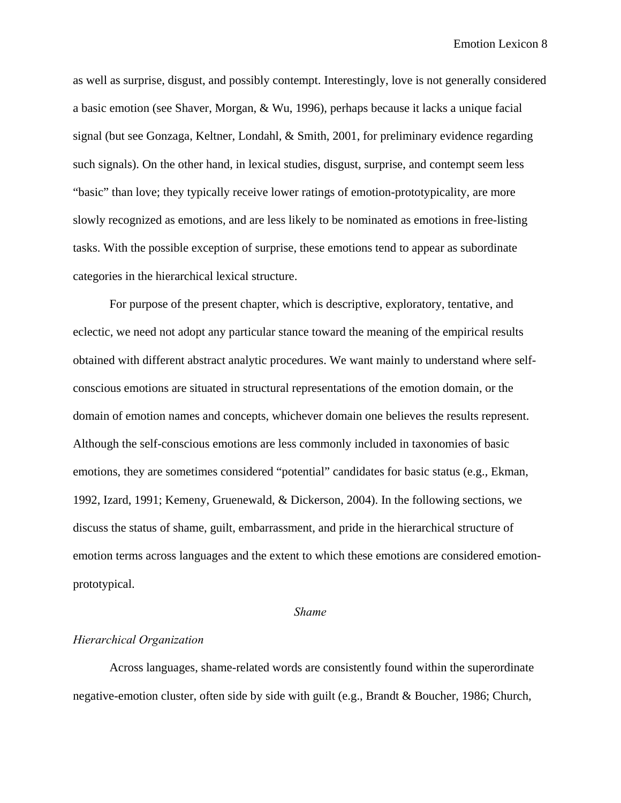as well as surprise, disgust, and possibly contempt. Interestingly, love is not generally considered a basic emotion (see Shaver, Morgan, & Wu, 1996), perhaps because it lacks a unique facial signal (but see Gonzaga, Keltner, Londahl, & Smith, 2001, for preliminary evidence regarding such signals). On the other hand, in lexical studies, disgust, surprise, and contempt seem less "basic" than love; they typically receive lower ratings of emotion-prototypicality, are more slowly recognized as emotions, and are less likely to be nominated as emotions in free-listing tasks. With the possible exception of surprise, these emotions tend to appear as subordinate categories in the hierarchical lexical structure.

For purpose of the present chapter, which is descriptive, exploratory, tentative, and eclectic, we need not adopt any particular stance toward the meaning of the empirical results obtained with different abstract analytic procedures. We want mainly to understand where selfconscious emotions are situated in structural representations of the emotion domain, or the domain of emotion names and concepts, whichever domain one believes the results represent. Although the self-conscious emotions are less commonly included in taxonomies of basic emotions, they are sometimes considered "potential" candidates for basic status (e.g., Ekman, 1992, Izard, 1991; Kemeny, Gruenewald, & Dickerson, 2004). In the following sections, we discuss the status of shame, guilt, embarrassment, and pride in the hierarchical structure of emotion terms across languages and the extent to which these emotions are considered emotionprototypical.

#### *Shame*

## *Hierarchical Organization*

Across languages, shame-related words are consistently found within the superordinate negative-emotion cluster, often side by side with guilt (e.g., Brandt & Boucher, 1986; Church,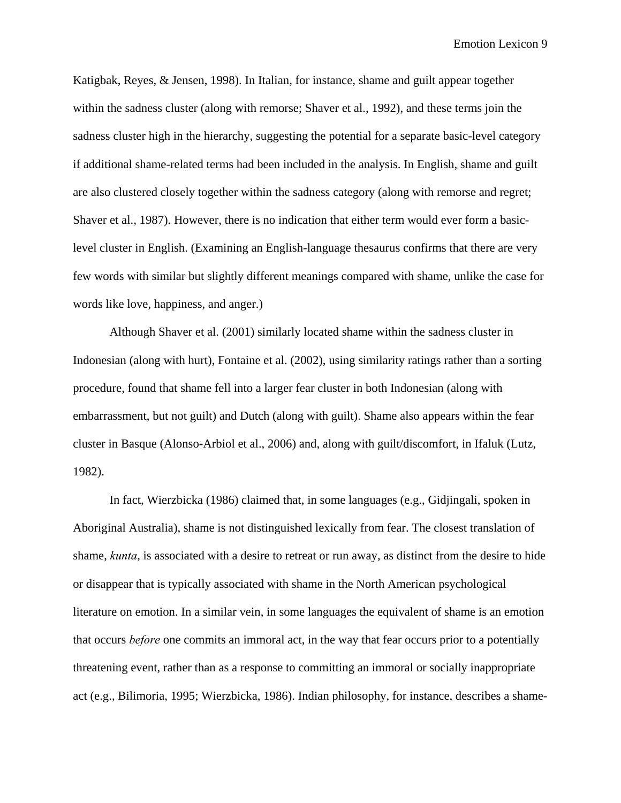Katigbak, Reyes, & Jensen, 1998). In Italian, for instance, shame and guilt appear together within the sadness cluster (along with remorse; Shaver et al., 1992), and these terms join the sadness cluster high in the hierarchy, suggesting the potential for a separate basic-level category if additional shame-related terms had been included in the analysis. In English, shame and guilt are also clustered closely together within the sadness category (along with remorse and regret; Shaver et al., 1987). However, there is no indication that either term would ever form a basiclevel cluster in English. (Examining an English-language thesaurus confirms that there are very few words with similar but slightly different meanings compared with shame, unlike the case for words like love, happiness, and anger.)

Although Shaver et al. (2001) similarly located shame within the sadness cluster in Indonesian (along with hurt), Fontaine et al. (2002), using similarity ratings rather than a sorting procedure, found that shame fell into a larger fear cluster in both Indonesian (along with embarrassment, but not guilt) and Dutch (along with guilt). Shame also appears within the fear cluster in Basque (Alonso-Arbiol et al., 2006) and, along with guilt/discomfort, in Ifaluk (Lutz, 1982).

In fact, Wierzbicka (1986) claimed that, in some languages (e.g., Gidjingali, spoken in Aboriginal Australia), shame is not distinguished lexically from fear. The closest translation of shame, *kunta*, is associated with a desire to retreat or run away, as distinct from the desire to hide or disappear that is typically associated with shame in the North American psychological literature on emotion. In a similar vein, in some languages the equivalent of shame is an emotion that occurs *before* one commits an immoral act, in the way that fear occurs prior to a potentially threatening event, rather than as a response to committing an immoral or socially inappropriate act (e.g., Bilimoria, 1995; Wierzbicka, 1986). Indian philosophy, for instance, describes a shame-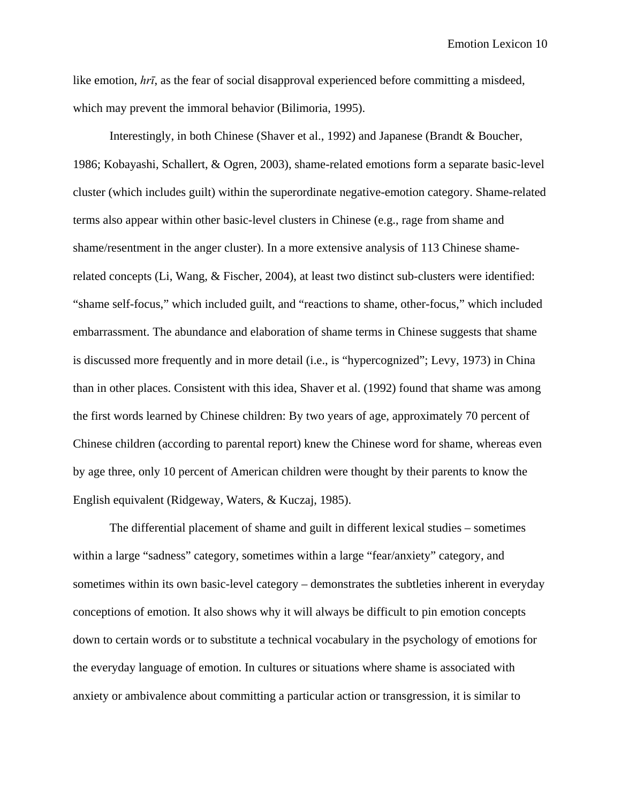like emotion, *hrī*, as the fear of social disapproval experienced before committing a misdeed, which may prevent the immoral behavior (Bilimoria, 1995).

Interestingly, in both Chinese (Shaver et al., 1992) and Japanese (Brandt & Boucher, 1986; Kobayashi, Schallert, & Ogren, 2003), shame-related emotions form a separate basic-level cluster (which includes guilt) within the superordinate negative-emotion category. Shame-related terms also appear within other basic-level clusters in Chinese (e.g., rage from shame and shame/resentment in the anger cluster). In a more extensive analysis of 113 Chinese shamerelated concepts (Li, Wang, & Fischer, 2004), at least two distinct sub-clusters were identified: "shame self-focus," which included guilt, and "reactions to shame, other-focus," which included embarrassment. The abundance and elaboration of shame terms in Chinese suggests that shame is discussed more frequently and in more detail (i.e., is "hypercognized"; Levy, 1973) in China than in other places. Consistent with this idea, Shaver et al. (1992) found that shame was among the first words learned by Chinese children: By two years of age, approximately 70 percent of Chinese children (according to parental report) knew the Chinese word for shame, whereas even by age three, only 10 percent of American children were thought by their parents to know the English equivalent (Ridgeway, Waters, & Kuczaj, 1985).

The differential placement of shame and guilt in different lexical studies – sometimes within a large "sadness" category, sometimes within a large "fear/anxiety" category, and sometimes within its own basic-level category – demonstrates the subtleties inherent in everyday conceptions of emotion. It also shows why it will always be difficult to pin emotion concepts down to certain words or to substitute a technical vocabulary in the psychology of emotions for the everyday language of emotion. In cultures or situations where shame is associated with anxiety or ambivalence about committing a particular action or transgression, it is similar to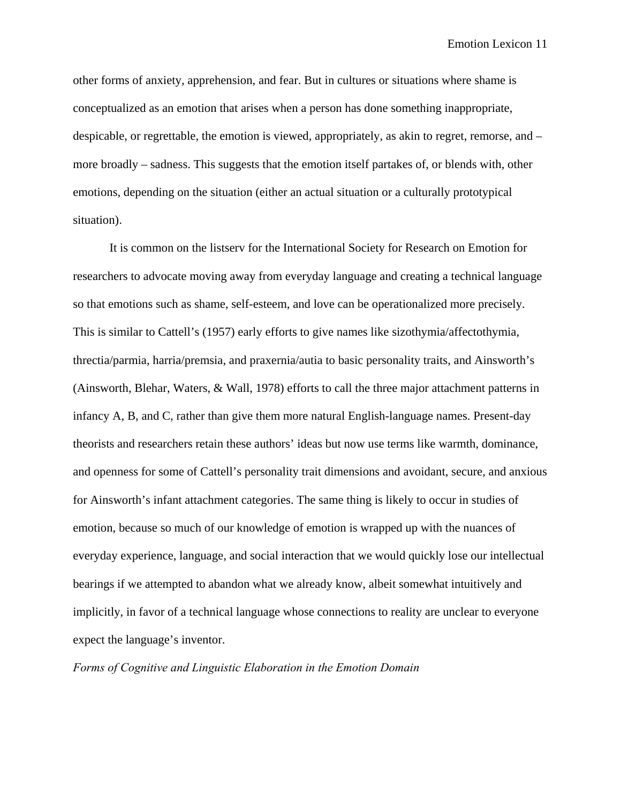other forms of anxiety, apprehension, and fear. But in cultures or situations where shame is conceptualized as an emotion that arises when a person has done something inappropriate, despicable, or regrettable, the emotion is viewed, appropriately, as akin to regret, remorse, and – more broadly – sadness. This suggests that the emotion itself partakes of, or blends with, other emotions, depending on the situation (either an actual situation or a culturally prototypical situation).

It is common on the listserv for the International Society for Research on Emotion for researchers to advocate moving away from everyday language and creating a technical language so that emotions such as shame, self-esteem, and love can be operationalized more precisely. This is similar to Cattell's (1957) early efforts to give names like sizothymia/affectothymia, threctia/parmia, harria/premsia, and praxernia/autia to basic personality traits, and Ainsworth's (Ainsworth, Blehar, Waters, & Wall, 1978) efforts to call the three major attachment patterns in infancy A, B, and C, rather than give them more natural English-language names. Present-day theorists and researchers retain these authors' ideas but now use terms like warmth, dominance, and openness for some of Cattell's personality trait dimensions and avoidant, secure, and anxious for Ainsworth's infant attachment categories. The same thing is likely to occur in studies of emotion, because so much of our knowledge of emotion is wrapped up with the nuances of everyday experience, language, and social interaction that we would quickly lose our intellectual bearings if we attempted to abandon what we already know, albeit somewhat intuitively and implicitly, in favor of a technical language whose connections to reality are unclear to everyone expect the language's inventor.

# *Forms of Cognitive and Linguistic Elaboration in the Emotion Domain*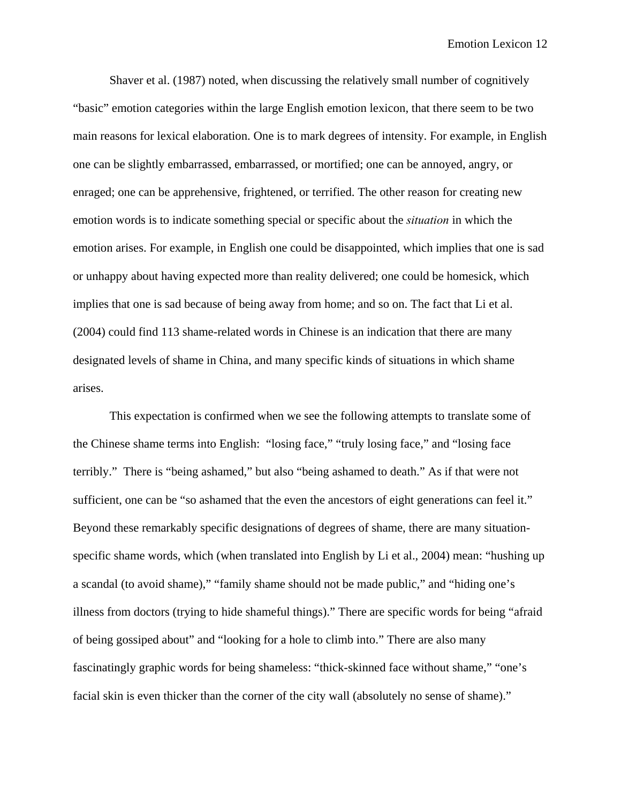Shaver et al. (1987) noted, when discussing the relatively small number of cognitively "basic" emotion categories within the large English emotion lexicon, that there seem to be two main reasons for lexical elaboration. One is to mark degrees of intensity. For example, in English one can be slightly embarrassed, embarrassed, or mortified; one can be annoyed, angry, or enraged; one can be apprehensive, frightened, or terrified. The other reason for creating new emotion words is to indicate something special or specific about the *situation* in which the emotion arises. For example, in English one could be disappointed, which implies that one is sad or unhappy about having expected more than reality delivered; one could be homesick, which implies that one is sad because of being away from home; and so on. The fact that Li et al. (2004) could find 113 shame-related words in Chinese is an indication that there are many designated levels of shame in China, and many specific kinds of situations in which shame arises.

This expectation is confirmed when we see the following attempts to translate some of the Chinese shame terms into English: "losing face," "truly losing face," and "losing face terribly." There is "being ashamed," but also "being ashamed to death." As if that were not sufficient, one can be "so ashamed that the even the ancestors of eight generations can feel it." Beyond these remarkably specific designations of degrees of shame, there are many situationspecific shame words, which (when translated into English by Li et al., 2004) mean: "hushing up a scandal (to avoid shame)," "family shame should not be made public," and "hiding one's illness from doctors (trying to hide shameful things)." There are specific words for being "afraid of being gossiped about" and "looking for a hole to climb into." There are also many fascinatingly graphic words for being shameless: "thick-skinned face without shame," "one's facial skin is even thicker than the corner of the city wall (absolutely no sense of shame)."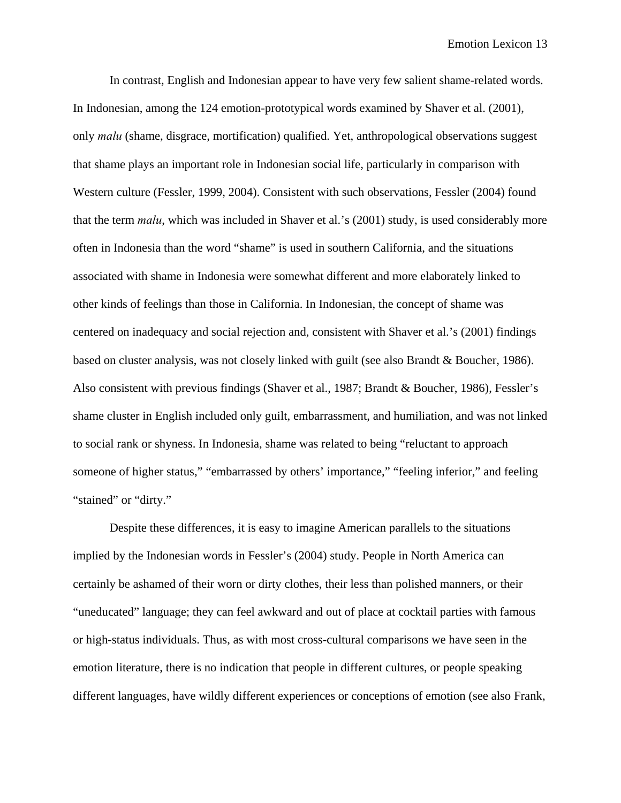In contrast, English and Indonesian appear to have very few salient shame-related words. In Indonesian, among the 124 emotion-prototypical words examined by Shaver et al. (2001), only *malu* (shame, disgrace, mortification) qualified. Yet, anthropological observations suggest that shame plays an important role in Indonesian social life, particularly in comparison with Western culture (Fessler, 1999, 2004). Consistent with such observations, Fessler (2004) found that the term *malu*, which was included in Shaver et al.'s (2001) study, is used considerably more often in Indonesia than the word "shame" is used in southern California, and the situations associated with shame in Indonesia were somewhat different and more elaborately linked to other kinds of feelings than those in California. In Indonesian, the concept of shame was centered on inadequacy and social rejection and, consistent with Shaver et al.'s (2001) findings based on cluster analysis, was not closely linked with guilt (see also Brandt & Boucher, 1986). Also consistent with previous findings (Shaver et al., 1987; Brandt & Boucher, 1986), Fessler's shame cluster in English included only guilt, embarrassment, and humiliation, and was not linked to social rank or shyness. In Indonesia, shame was related to being "reluctant to approach someone of higher status," "embarrassed by others' importance," "feeling inferior," and feeling "stained" or "dirty."

Despite these differences, it is easy to imagine American parallels to the situations implied by the Indonesian words in Fessler's (2004) study. People in North America can certainly be ashamed of their worn or dirty clothes, their less than polished manners, or their "uneducated" language; they can feel awkward and out of place at cocktail parties with famous or high-status individuals. Thus, as with most cross-cultural comparisons we have seen in the emotion literature, there is no indication that people in different cultures, or people speaking different languages, have wildly different experiences or conceptions of emotion (see also Frank,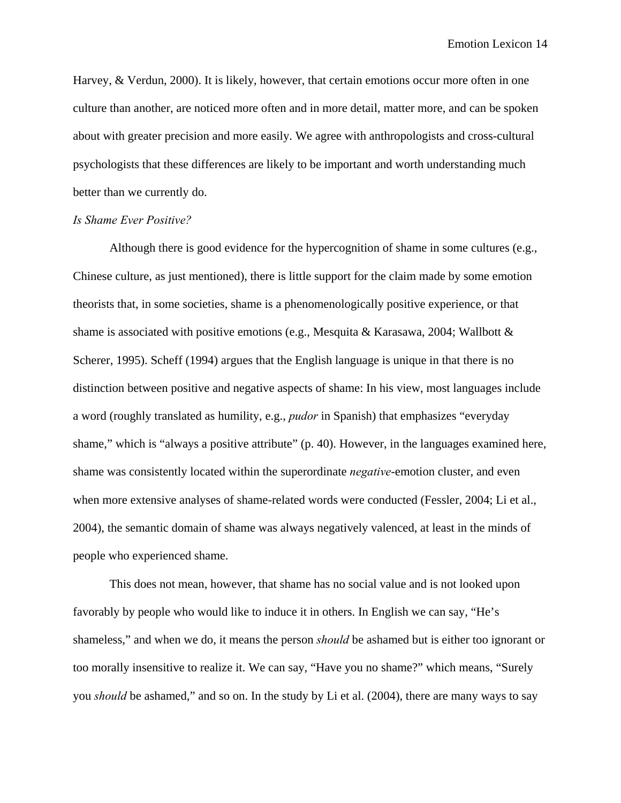Harvey, & Verdun, 2000). It is likely, however, that certain emotions occur more often in one culture than another, are noticed more often and in more detail, matter more, and can be spoken about with greater precision and more easily. We agree with anthropologists and cross-cultural psychologists that these differences are likely to be important and worth understanding much better than we currently do.

# *Is Shame Ever Positive?*

Although there is good evidence for the hypercognition of shame in some cultures (e.g., Chinese culture, as just mentioned), there is little support for the claim made by some emotion theorists that, in some societies, shame is a phenomenologically positive experience, or that shame is associated with positive emotions (e.g., Mesquita & Karasawa, 2004; Wallbott  $\&$ Scherer, 1995). Scheff (1994) argues that the English language is unique in that there is no distinction between positive and negative aspects of shame: In his view, most languages include a word (roughly translated as humility, e.g., *pudor* in Spanish) that emphasizes "everyday shame," which is "always a positive attribute" (p. 40). However, in the languages examined here, shame was consistently located within the superordinate *negative*-emotion cluster, and even when more extensive analyses of shame-related words were conducted (Fessler, 2004; Li et al., 2004), the semantic domain of shame was always negatively valenced, at least in the minds of people who experienced shame.

This does not mean, however, that shame has no social value and is not looked upon favorably by people who would like to induce it in others. In English we can say, "He's shameless," and when we do, it means the person *should* be ashamed but is either too ignorant or too morally insensitive to realize it. We can say, "Have you no shame?" which means, "Surely you *should* be ashamed," and so on. In the study by Li et al. (2004), there are many ways to say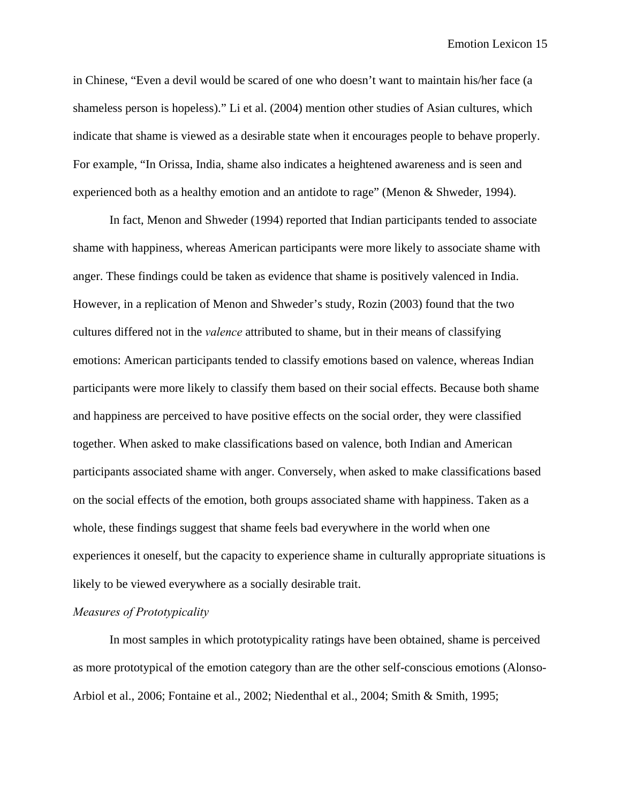in Chinese, "Even a devil would be scared of one who doesn't want to maintain his/her face (a shameless person is hopeless)." Li et al. (2004) mention other studies of Asian cultures, which indicate that shame is viewed as a desirable state when it encourages people to behave properly. For example, "In Orissa, India, shame also indicates a heightened awareness and is seen and experienced both as a healthy emotion and an antidote to rage" (Menon & Shweder, 1994).

In fact, Menon and Shweder (1994) reported that Indian participants tended to associate shame with happiness, whereas American participants were more likely to associate shame with anger. These findings could be taken as evidence that shame is positively valenced in India. However, in a replication of Menon and Shweder's study, Rozin (2003) found that the two cultures differed not in the *valence* attributed to shame, but in their means of classifying emotions: American participants tended to classify emotions based on valence, whereas Indian participants were more likely to classify them based on their social effects. Because both shame and happiness are perceived to have positive effects on the social order, they were classified together. When asked to make classifications based on valence, both Indian and American participants associated shame with anger. Conversely, when asked to make classifications based on the social effects of the emotion, both groups associated shame with happiness. Taken as a whole, these findings suggest that shame feels bad everywhere in the world when one experiences it oneself, but the capacity to experience shame in culturally appropriate situations is likely to be viewed everywhere as a socially desirable trait.

# *Measures of Prototypicality*

In most samples in which prototypicality ratings have been obtained, shame is perceived as more prototypical of the emotion category than are the other self-conscious emotions (Alonso-Arbiol et al., 2006; Fontaine et al., 2002; Niedenthal et al., 2004; Smith & Smith, 1995;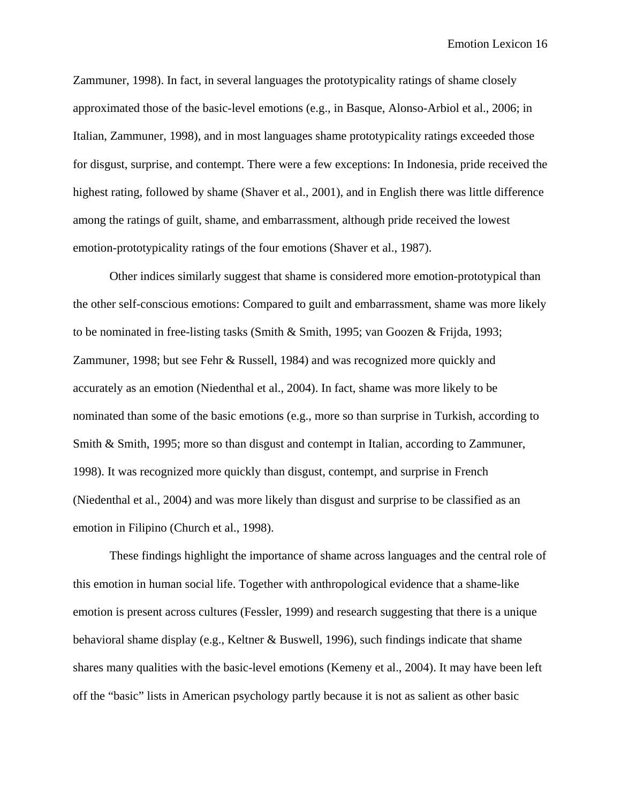Zammuner, 1998). In fact, in several languages the prototypicality ratings of shame closely approximated those of the basic-level emotions (e.g., in Basque, Alonso-Arbiol et al., 2006; in Italian, Zammuner, 1998), and in most languages shame prototypicality ratings exceeded those for disgust, surprise, and contempt. There were a few exceptions: In Indonesia, pride received the highest rating, followed by shame (Shaver et al., 2001), and in English there was little difference among the ratings of guilt, shame, and embarrassment, although pride received the lowest emotion-prototypicality ratings of the four emotions (Shaver et al., 1987).

Other indices similarly suggest that shame is considered more emotion-prototypical than the other self-conscious emotions: Compared to guilt and embarrassment, shame was more likely to be nominated in free-listing tasks (Smith & Smith, 1995; van Goozen & Frijda, 1993; Zammuner, 1998; but see Fehr & Russell, 1984) and was recognized more quickly and accurately as an emotion (Niedenthal et al., 2004). In fact, shame was more likely to be nominated than some of the basic emotions (e.g., more so than surprise in Turkish, according to Smith & Smith, 1995; more so than disgust and contempt in Italian, according to Zammuner, 1998). It was recognized more quickly than disgust, contempt, and surprise in French (Niedenthal et al., 2004) and was more likely than disgust and surprise to be classified as an emotion in Filipino (Church et al., 1998).

These findings highlight the importance of shame across languages and the central role of this emotion in human social life. Together with anthropological evidence that a shame-like emotion is present across cultures (Fessler, 1999) and research suggesting that there is a unique behavioral shame display (e.g., Keltner & Buswell, 1996), such findings indicate that shame shares many qualities with the basic-level emotions (Kemeny et al., 2004). It may have been left off the "basic" lists in American psychology partly because it is not as salient as other basic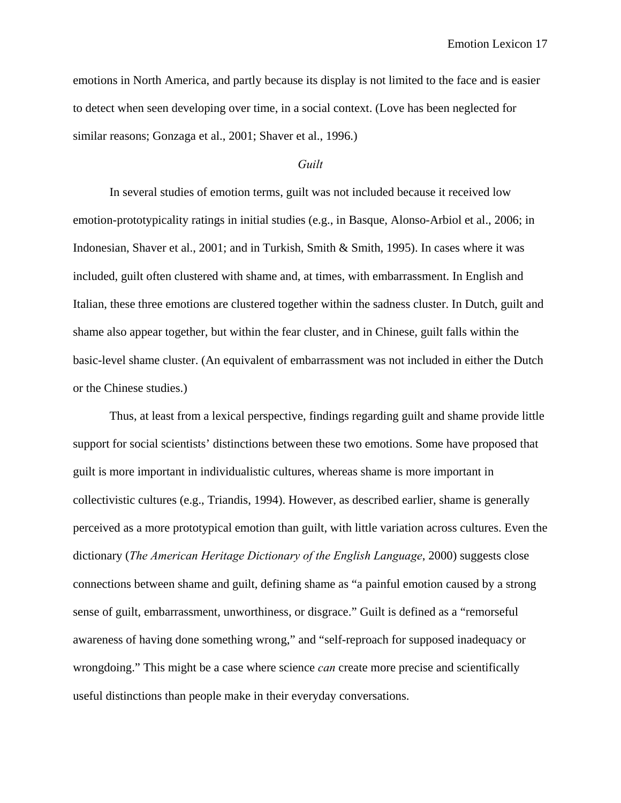emotions in North America, and partly because its display is not limited to the face and is easier to detect when seen developing over time, in a social context. (Love has been neglected for similar reasons; Gonzaga et al., 2001; Shaver et al., 1996.)

# *Guilt*

In several studies of emotion terms, guilt was not included because it received low emotion-prototypicality ratings in initial studies (e.g., in Basque, Alonso-Arbiol et al., 2006; in Indonesian, Shaver et al., 2001; and in Turkish, Smith & Smith, 1995). In cases where it was included, guilt often clustered with shame and, at times, with embarrassment. In English and Italian, these three emotions are clustered together within the sadness cluster. In Dutch, guilt and shame also appear together, but within the fear cluster, and in Chinese, guilt falls within the basic-level shame cluster. (An equivalent of embarrassment was not included in either the Dutch or the Chinese studies.)

 Thus, at least from a lexical perspective, findings regarding guilt and shame provide little support for social scientists' distinctions between these two emotions. Some have proposed that guilt is more important in individualistic cultures, whereas shame is more important in collectivistic cultures (e.g., Triandis, 1994). However, as described earlier, shame is generally perceived as a more prototypical emotion than guilt, with little variation across cultures. Even the dictionary (*The American Heritage Dictionary of the English Language*, 2000) suggests close connections between shame and guilt, defining shame as "a painful emotion caused by a strong sense of guilt, embarrassment, unworthiness, or disgrace." Guilt is defined as a "remorseful awareness of having done something wrong," and "self-reproach for supposed inadequacy or wrongdoing." This might be a case where science *can* create more precise and scientifically useful distinctions than people make in their everyday conversations.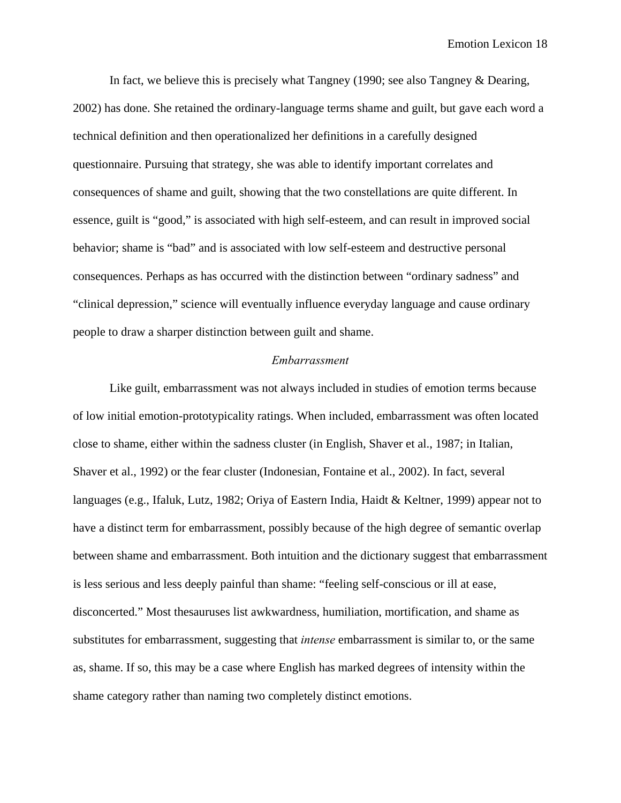In fact, we believe this is precisely what Tangney (1990; see also Tangney & Dearing, 2002) has done. She retained the ordinary-language terms shame and guilt, but gave each word a technical definition and then operationalized her definitions in a carefully designed questionnaire. Pursuing that strategy, she was able to identify important correlates and consequences of shame and guilt, showing that the two constellations are quite different. In essence, guilt is "good," is associated with high self-esteem, and can result in improved social behavior; shame is "bad" and is associated with low self-esteem and destructive personal consequences. Perhaps as has occurred with the distinction between "ordinary sadness" and "clinical depression," science will eventually influence everyday language and cause ordinary people to draw a sharper distinction between guilt and shame.

### *Embarrassment*

Like guilt, embarrassment was not always included in studies of emotion terms because of low initial emotion-prototypicality ratings. When included, embarrassment was often located close to shame, either within the sadness cluster (in English, Shaver et al., 1987; in Italian, Shaver et al., 1992) or the fear cluster (Indonesian, Fontaine et al., 2002). In fact, several languages (e.g., Ifaluk, Lutz, 1982; Oriya of Eastern India, Haidt & Keltner, 1999) appear not to have a distinct term for embarrassment, possibly because of the high degree of semantic overlap between shame and embarrassment. Both intuition and the dictionary suggest that embarrassment is less serious and less deeply painful than shame: "feeling self-conscious or ill at ease, disconcerted." Most thesauruses list awkwardness, humiliation, mortification, and shame as substitutes for embarrassment, suggesting that *intense* embarrassment is similar to, or the same as, shame. If so, this may be a case where English has marked degrees of intensity within the shame category rather than naming two completely distinct emotions.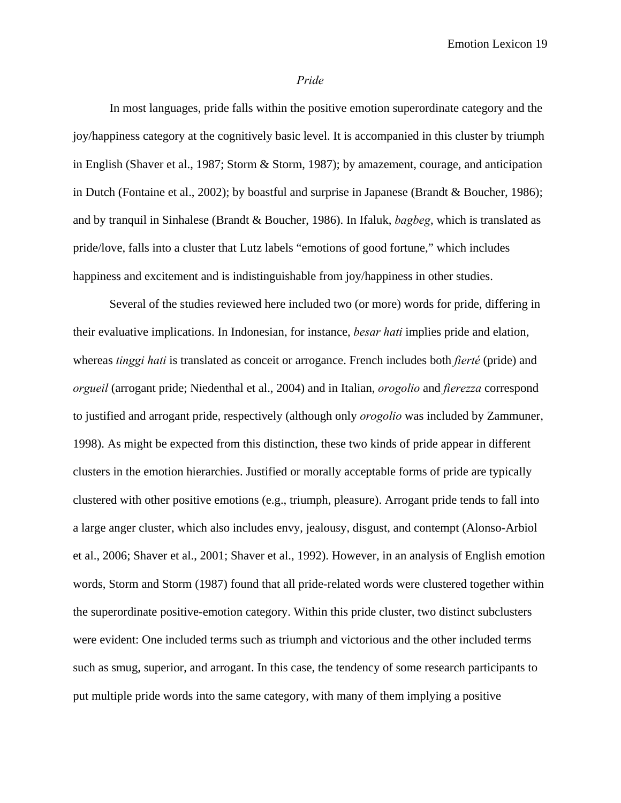#### *Pride*

In most languages, pride falls within the positive emotion superordinate category and the joy/happiness category at the cognitively basic level. It is accompanied in this cluster by triumph in English (Shaver et al., 1987; Storm & Storm, 1987); by amazement, courage, and anticipation in Dutch (Fontaine et al., 2002); by boastful and surprise in Japanese (Brandt & Boucher, 1986); and by tranquil in Sinhalese (Brandt & Boucher, 1986). In Ifaluk, *bagbeg*, which is translated as pride/love, falls into a cluster that Lutz labels "emotions of good fortune," which includes happiness and excitement and is indistinguishable from joy/happiness in other studies.

Several of the studies reviewed here included two (or more) words for pride, differing in their evaluative implications. In Indonesian, for instance, *besar hati* implies pride and elation, whereas *tinggi hati* is translated as conceit or arrogance. French includes both *fierté* (pride) and *orgueil* (arrogant pride; Niedenthal et al., 2004) and in Italian, *orogolio* and *fierezza* correspond to justified and arrogant pride, respectively (although only *orogolio* was included by Zammuner, 1998). As might be expected from this distinction, these two kinds of pride appear in different clusters in the emotion hierarchies. Justified or morally acceptable forms of pride are typically clustered with other positive emotions (e.g., triumph, pleasure). Arrogant pride tends to fall into a large anger cluster, which also includes envy, jealousy, disgust, and contempt (Alonso-Arbiol et al., 2006; Shaver et al., 2001; Shaver et al., 1992). However, in an analysis of English emotion words, Storm and Storm (1987) found that all pride-related words were clustered together within the superordinate positive-emotion category. Within this pride cluster, two distinct subclusters were evident: One included terms such as triumph and victorious and the other included terms such as smug, superior, and arrogant. In this case, the tendency of some research participants to put multiple pride words into the same category, with many of them implying a positive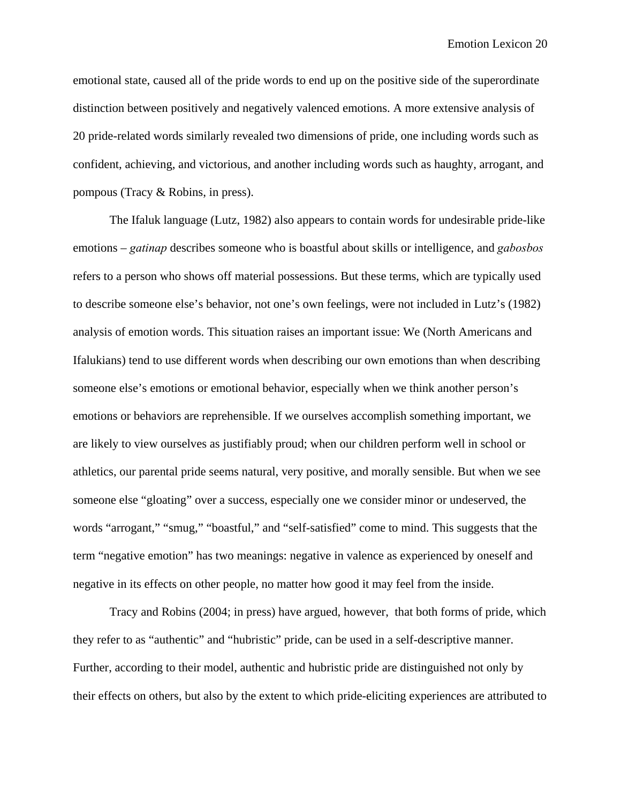emotional state, caused all of the pride words to end up on the positive side of the superordinate distinction between positively and negatively valenced emotions. A more extensive analysis of 20 pride-related words similarly revealed two dimensions of pride, one including words such as confident, achieving, and victorious, and another including words such as haughty, arrogant, and pompous (Tracy & Robins, in press).

The Ifaluk language (Lutz, 1982) also appears to contain words for undesirable pride-like emotions – *gatinap* describes someone who is boastful about skills or intelligence, and *gabosbos* refers to a person who shows off material possessions. But these terms, which are typically used to describe someone else's behavior, not one's own feelings, were not included in Lutz's (1982) analysis of emotion words. This situation raises an important issue: We (North Americans and Ifalukians) tend to use different words when describing our own emotions than when describing someone else's emotions or emotional behavior, especially when we think another person's emotions or behaviors are reprehensible. If we ourselves accomplish something important, we are likely to view ourselves as justifiably proud; when our children perform well in school or athletics, our parental pride seems natural, very positive, and morally sensible. But when we see someone else "gloating" over a success, especially one we consider minor or undeserved, the words "arrogant," "smug," "boastful," and "self-satisfied" come to mind. This suggests that the term "negative emotion" has two meanings: negative in valence as experienced by oneself and negative in its effects on other people, no matter how good it may feel from the inside.

Tracy and Robins (2004; in press) have argued, however, that both forms of pride, which they refer to as "authentic" and "hubristic" pride, can be used in a self-descriptive manner. Further, according to their model, authentic and hubristic pride are distinguished not only by their effects on others, but also by the extent to which pride-eliciting experiences are attributed to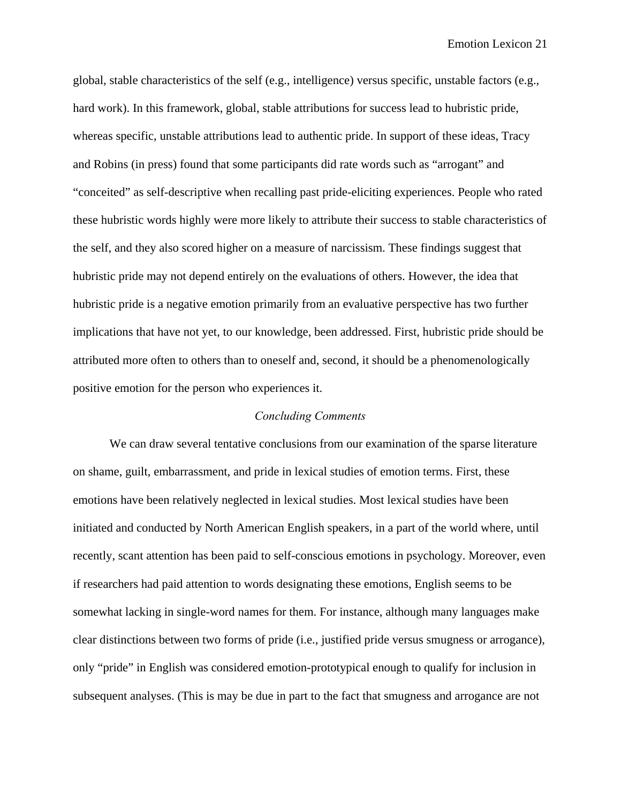global, stable characteristics of the self (e.g., intelligence) versus specific, unstable factors (e.g., hard work). In this framework, global, stable attributions for success lead to hubristic pride, whereas specific, unstable attributions lead to authentic pride. In support of these ideas, Tracy and Robins (in press) found that some participants did rate words such as "arrogant" and "conceited" as self-descriptive when recalling past pride-eliciting experiences. People who rated these hubristic words highly were more likely to attribute their success to stable characteristics of the self, and they also scored higher on a measure of narcissism. These findings suggest that hubristic pride may not depend entirely on the evaluations of others. However, the idea that hubristic pride is a negative emotion primarily from an evaluative perspective has two further implications that have not yet, to our knowledge, been addressed. First, hubristic pride should be attributed more often to others than to oneself and, second, it should be a phenomenologically positive emotion for the person who experiences it.

## *Concluding Comments*

 We can draw several tentative conclusions from our examination of the sparse literature on shame, guilt, embarrassment, and pride in lexical studies of emotion terms. First, these emotions have been relatively neglected in lexical studies. Most lexical studies have been initiated and conducted by North American English speakers, in a part of the world where, until recently, scant attention has been paid to self-conscious emotions in psychology. Moreover, even if researchers had paid attention to words designating these emotions, English seems to be somewhat lacking in single-word names for them. For instance, although many languages make clear distinctions between two forms of pride (i.e., justified pride versus smugness or arrogance), only "pride" in English was considered emotion-prototypical enough to qualify for inclusion in subsequent analyses. (This is may be due in part to the fact that smugness and arrogance are not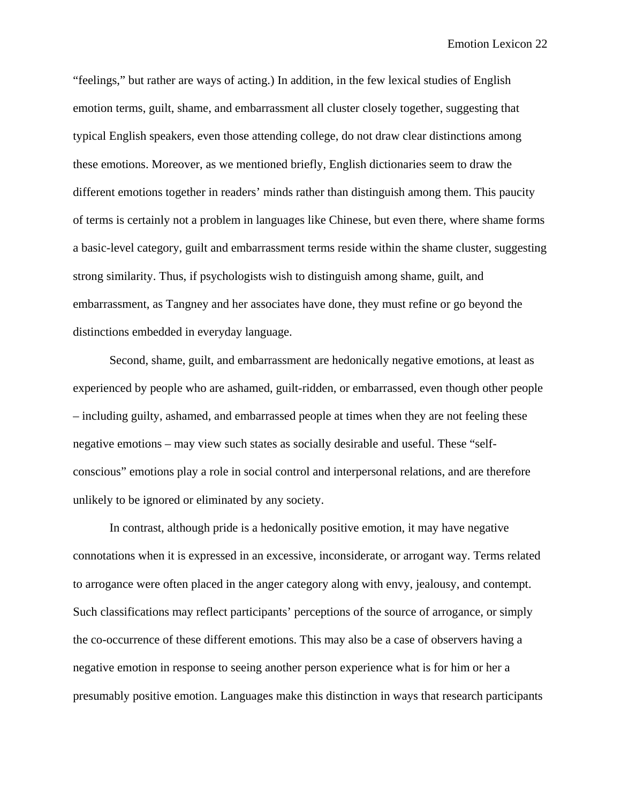"feelings," but rather are ways of acting.) In addition, in the few lexical studies of English emotion terms, guilt, shame, and embarrassment all cluster closely together, suggesting that typical English speakers, even those attending college, do not draw clear distinctions among these emotions. Moreover, as we mentioned briefly, English dictionaries seem to draw the different emotions together in readers' minds rather than distinguish among them. This paucity of terms is certainly not a problem in languages like Chinese, but even there, where shame forms a basic-level category, guilt and embarrassment terms reside within the shame cluster, suggesting strong similarity. Thus, if psychologists wish to distinguish among shame, guilt, and embarrassment, as Tangney and her associates have done, they must refine or go beyond the distinctions embedded in everyday language.

 Second, shame, guilt, and embarrassment are hedonically negative emotions, at least as experienced by people who are ashamed, guilt-ridden, or embarrassed, even though other people – including guilty, ashamed, and embarrassed people at times when they are not feeling these negative emotions – may view such states as socially desirable and useful. These "selfconscious" emotions play a role in social control and interpersonal relations, and are therefore unlikely to be ignored or eliminated by any society.

In contrast, although pride is a hedonically positive emotion, it may have negative connotations when it is expressed in an excessive, inconsiderate, or arrogant way. Terms related to arrogance were often placed in the anger category along with envy, jealousy, and contempt. Such classifications may reflect participants' perceptions of the source of arrogance, or simply the co-occurrence of these different emotions. This may also be a case of observers having a negative emotion in response to seeing another person experience what is for him or her a presumably positive emotion. Languages make this distinction in ways that research participants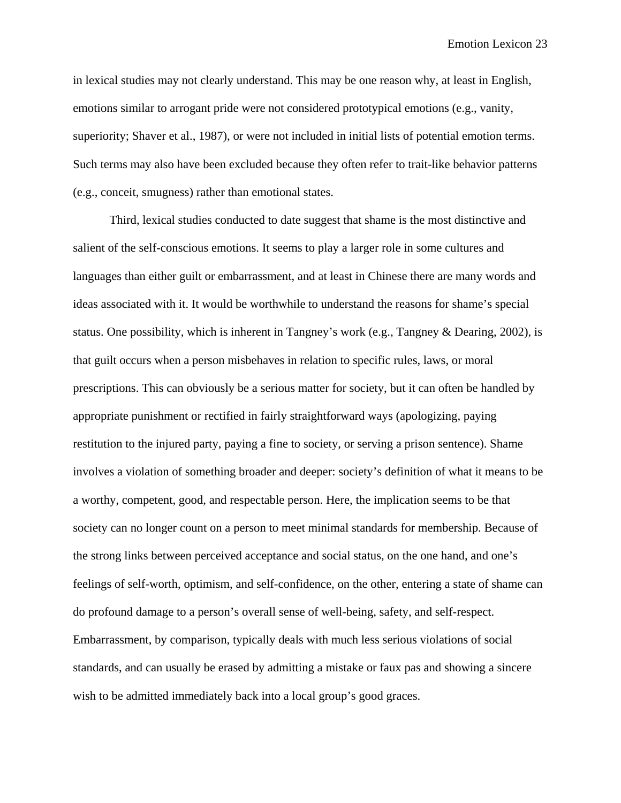in lexical studies may not clearly understand. This may be one reason why, at least in English, emotions similar to arrogant pride were not considered prototypical emotions (e.g., vanity, superiority; Shaver et al., 1987), or were not included in initial lists of potential emotion terms. Such terms may also have been excluded because they often refer to trait-like behavior patterns (e.g., conceit, smugness) rather than emotional states.

 Third, lexical studies conducted to date suggest that shame is the most distinctive and salient of the self-conscious emotions. It seems to play a larger role in some cultures and languages than either guilt or embarrassment, and at least in Chinese there are many words and ideas associated with it. It would be worthwhile to understand the reasons for shame's special status. One possibility, which is inherent in Tangney's work (e.g., Tangney & Dearing, 2002), is that guilt occurs when a person misbehaves in relation to specific rules, laws, or moral prescriptions. This can obviously be a serious matter for society, but it can often be handled by appropriate punishment or rectified in fairly straightforward ways (apologizing, paying restitution to the injured party, paying a fine to society, or serving a prison sentence). Shame involves a violation of something broader and deeper: society's definition of what it means to be a worthy, competent, good, and respectable person. Here, the implication seems to be that society can no longer count on a person to meet minimal standards for membership. Because of the strong links between perceived acceptance and social status, on the one hand, and one's feelings of self-worth, optimism, and self-confidence, on the other, entering a state of shame can do profound damage to a person's overall sense of well-being, safety, and self-respect. Embarrassment, by comparison, typically deals with much less serious violations of social standards, and can usually be erased by admitting a mistake or faux pas and showing a sincere wish to be admitted immediately back into a local group's good graces.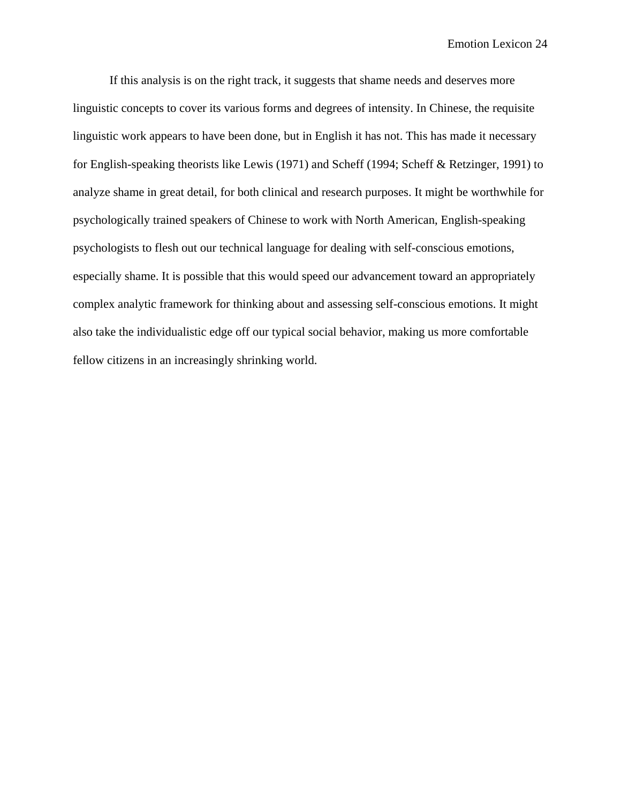If this analysis is on the right track, it suggests that shame needs and deserves more linguistic concepts to cover its various forms and degrees of intensity. In Chinese, the requisite linguistic work appears to have been done, but in English it has not. This has made it necessary for English-speaking theorists like Lewis (1971) and Scheff (1994; Scheff & Retzinger, 1991) to analyze shame in great detail, for both clinical and research purposes. It might be worthwhile for psychologically trained speakers of Chinese to work with North American, English-speaking psychologists to flesh out our technical language for dealing with self-conscious emotions, especially shame. It is possible that this would speed our advancement toward an appropriately complex analytic framework for thinking about and assessing self-conscious emotions. It might also take the individualistic edge off our typical social behavior, making us more comfortable fellow citizens in an increasingly shrinking world.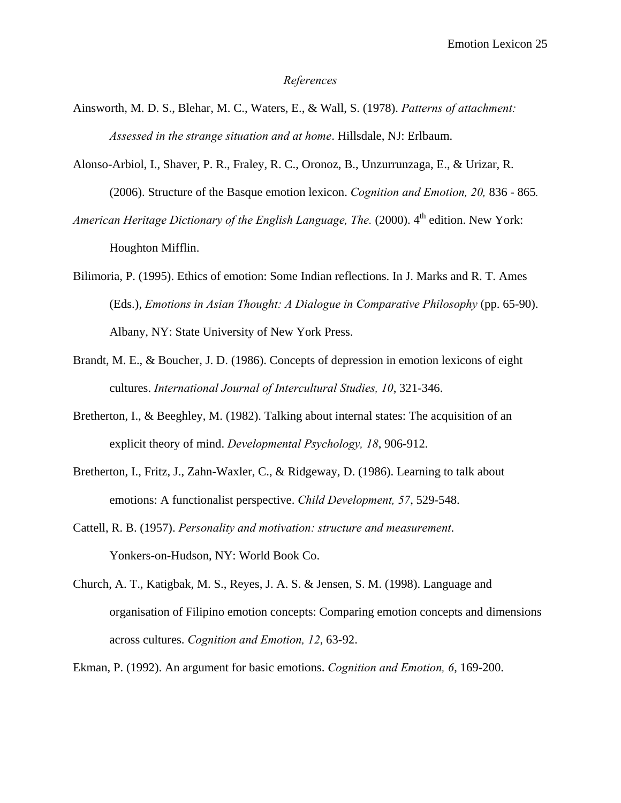### *References*

- Ainsworth, M. D. S., Blehar, M. C., Waters, E., & Wall, S. (1978). *Patterns of attachment: Assessed in the strange situation and at home*. Hillsdale, NJ: Erlbaum.
- Alonso-Arbiol, I., Shaver, P. R., Fraley, R. C., Oronoz, B., Unzurrunzaga, E., & Urizar, R. (2006). Structure of the Basque emotion lexicon. *Cognition and Emotion, 20,* 836 - 865*.*
- *American Heritage Dictionary of the English Language, The.* (2000). 4<sup>th</sup> edition. New York: Houghton Mifflin.
- Bilimoria, P. (1995). Ethics of emotion: Some Indian reflections. In J. Marks and R. T. Ames (Eds.), *Emotions in Asian Thought: A Dialogue in Comparative Philosophy* (pp. 65-90). Albany, NY: State University of New York Press.
- Brandt, M. E., & Boucher, J. D. (1986). Concepts of depression in emotion lexicons of eight cultures. *International Journal of Intercultural Studies, 10*, 321-346.
- Bretherton, I., & Beeghley, M. (1982). Talking about internal states: The acquisition of an explicit theory of mind. *Developmental Psychology, 18*, 906-912.
- Bretherton, I., Fritz, J., Zahn-Waxler, C., & Ridgeway, D. (1986). Learning to talk about emotions: A functionalist perspective. *Child Development, 57*, 529-548.
- Cattell, R. B. (1957). *Personality and motivation: structure and measurement*. Yonkers-on-Hudson, NY: World Book Co.
- Church, A. T., Katigbak, M. S., Reyes, J. A. S. & Jensen, S. M. (1998). Language and organisation of Filipino emotion concepts: Comparing emotion concepts and dimensions across cultures. *Cognition and Emotion, 12*, 63-92.
- Ekman, P. (1992). An argument for basic emotions. *Cognition and Emotion, 6*, 169-200.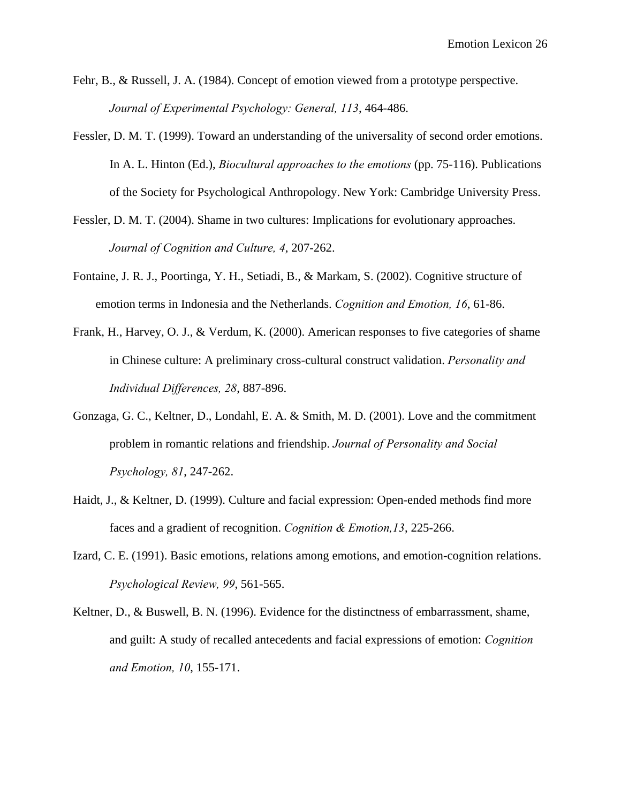Fehr, B., & Russell, J. A. (1984). Concept of emotion viewed from a prototype perspective. *Journal of Experimental Psychology: General, 113*, 464-486.

- Fessler, D. M. T. (1999). Toward an understanding of the universality of second order emotions. In A. L. Hinton (Ed.), *Biocultural approaches to the emotions* (pp. 75-116). Publications of the Society for Psychological Anthropology. New York: Cambridge University Press.
- Fessler, D. M. T. (2004). Shame in two cultures: Implications for evolutionary approaches. *Journal of Cognition and Culture, 4*, 207-262.
- Fontaine, J. R. J., Poortinga, Y. H., Setiadi, B., & Markam, S. (2002). Cognitive structure of emotion terms in Indonesia and the Netherlands. *Cognition and Emotion, 16*, 61-86.
- Frank, H., Harvey, O. J., & Verdum, K. (2000). American responses to five categories of shame in Chinese culture: A preliminary cross-cultural construct validation. *Personality and Individual Differences, 28*, 887-896.
- Gonzaga, G. C., Keltner, D., Londahl, E. A. & Smith, M. D. (2001). Love and the commitment problem in romantic relations and friendship. *Journal of Personality and Social Psychology, 81*, 247-262.
- Haidt, J., & Keltner, D. (1999). Culture and facial expression: Open-ended methods find more faces and a gradient of recognition. *Cognition & Emotion,13*, 225-266.
- Izard, C. E. (1991). Basic emotions, relations among emotions, and emotion-cognition relations. *Psychological Review, 99*, 561-565.
- Keltner, D., & Buswell, B. N. (1996). Evidence for the distinctness of embarrassment, shame, and guilt: A study of recalled antecedents and facial expressions of emotion: *Cognition and Emotion, 10*, 155-171.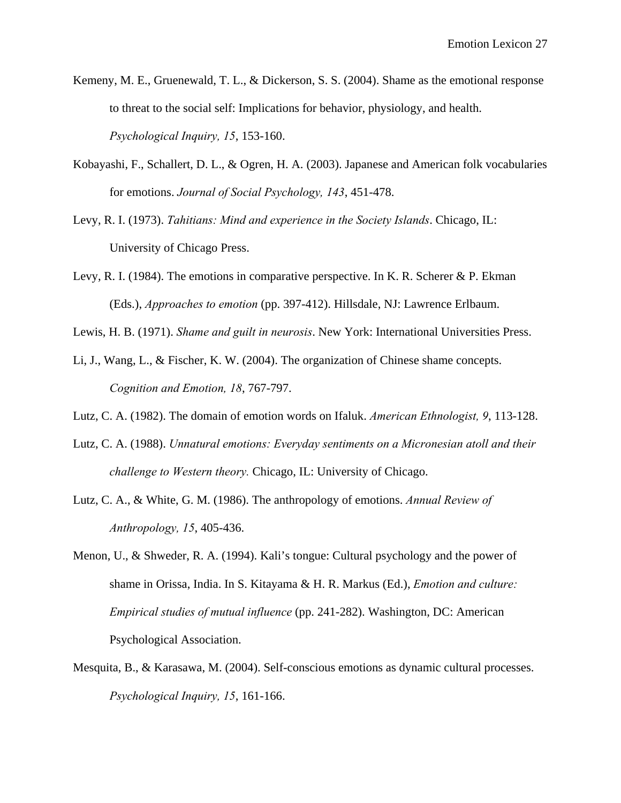- Kemeny, M. E., Gruenewald, T. L., & Dickerson, S. S. (2004). Shame as the emotional response to threat to the social self: Implications for behavior, physiology, and health. *Psychological Inquiry, 15*, 153-160.
- Kobayashi, F., Schallert, D. L., & Ogren, H. A. (2003). Japanese and American folk vocabularies for emotions. *Journal of Social Psychology, 143*, 451-478.
- Levy, R. I. (1973). *Tahitians: Mind and experience in the Society Islands*. Chicago, IL: University of Chicago Press.
- Levy, R. I. (1984). The emotions in comparative perspective. In K. R. Scherer & P. Ekman (Eds.), *Approaches to emotion* (pp. 397-412). Hillsdale, NJ: Lawrence Erlbaum.
- Lewis, H. B. (1971). *Shame and guilt in neurosis*. New York: International Universities Press.
- Li, J., Wang, L., & Fischer, K. W. (2004). The organization of Chinese shame concepts. *Cognition and Emotion, 18*, 767-797.
- Lutz, C. A. (1982). The domain of emotion words on Ifaluk. *American Ethnologist, 9*, 113-128.
- Lutz, C. A. (1988). *Unnatural emotions: Everyday sentiments on a Micronesian atoll and their challenge to Western theory.* Chicago, IL: University of Chicago.
- Lutz, C. A., & White, G. M. (1986). The anthropology of emotions. *Annual Review of Anthropology, 15*, 405-436.
- Menon, U., & Shweder, R. A. (1994). Kali's tongue: Cultural psychology and the power of shame in Orissa, India. In S. Kitayama & H. R. Markus (Ed.), *Emotion and culture: Empirical studies of mutual influence* (pp. 241-282). Washington, DC: American Psychological Association.
- Mesquita, B., & Karasawa, M. (2004). Self-conscious emotions as dynamic cultural processes. *Psychological Inquiry, 15*, 161-166.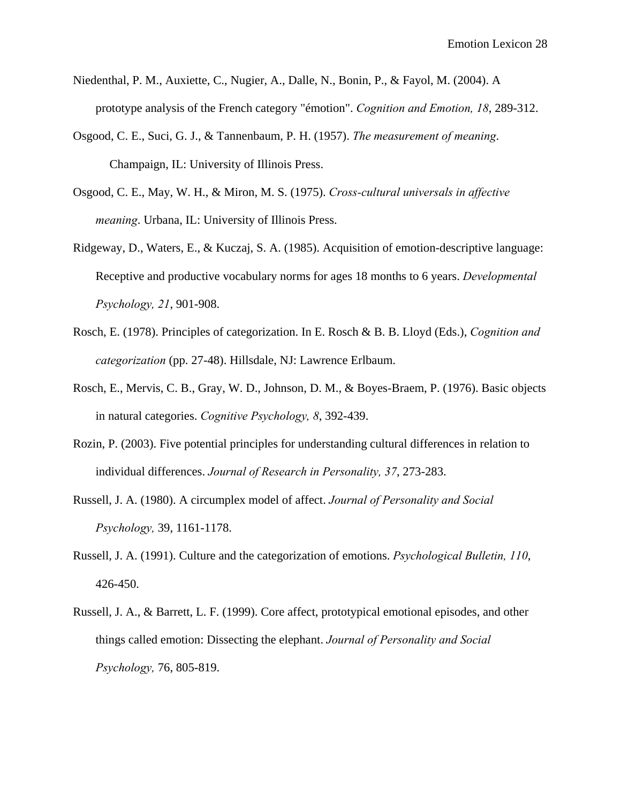- Niedenthal, P. M., Auxiette, C., Nugier, A., Dalle, N., Bonin, P., & Fayol, M. (2004). A prototype analysis of the French category "émotion". *Cognition and Emotion, 18*, 289-312.
- Osgood, C. E., Suci, G. J., & Tannenbaum, P. H. (1957). *The measurement of meaning*. Champaign, IL: University of Illinois Press.
- Osgood, C. E., May, W. H., & Miron, M. S. (1975). *Cross-cultural universals in affective meaning*. Urbana, IL: University of Illinois Press.
- Ridgeway, D., Waters, E., & Kuczaj, S. A. (1985). Acquisition of emotion-descriptive language: Receptive and productive vocabulary norms for ages 18 months to 6 years. *Developmental Psychology, 21*, 901-908.
- Rosch, E. (1978). Principles of categorization. In E. Rosch & B. B. Lloyd (Eds.), *Cognition and categorization* (pp. 27-48). Hillsdale, NJ: Lawrence Erlbaum.
- Rosch, E., Mervis, C. B., Gray, W. D., Johnson, D. M., & Boyes-Braem, P. (1976). Basic objects in natural categories. *Cognitive Psychology, 8*, 392-439.
- Rozin, P. (2003). Five potential principles for understanding cultural differences in relation to individual differences. *Journal of Research in Personality, 37*, 273-283.
- Russell, J. A. (1980). A circumplex model of affect. *Journal of Personality and Social Psychology,* 39, 1161-1178.
- Russell, J. A. (1991). Culture and the categorization of emotions. *Psychological Bulletin, 110*, 426-450.
- Russell, J. A., & Barrett, L. F. (1999). Core affect, prototypical emotional episodes, and other things called emotion: Dissecting the elephant. *Journal of Personality and Social Psychology,* 76, 805-819.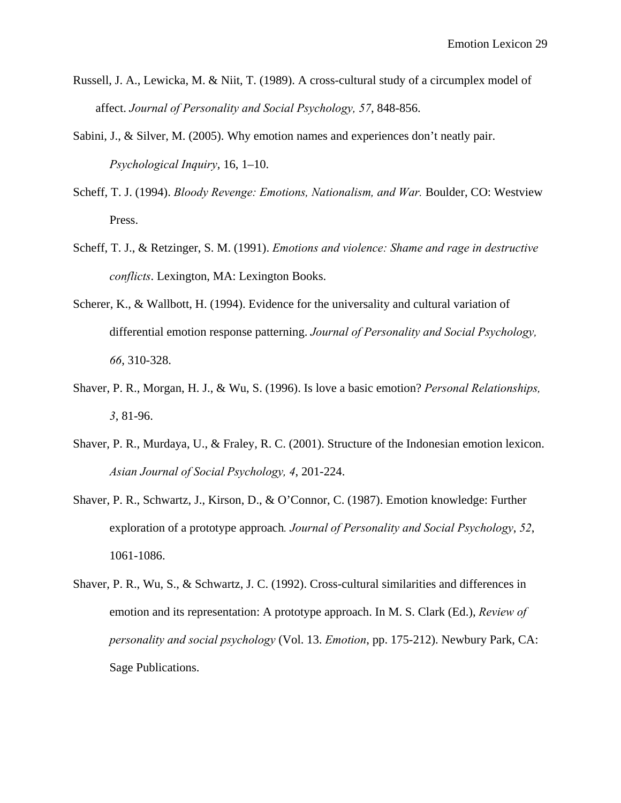- Russell, J. A., Lewicka, M. & Niit, T. (1989). A cross-cultural study of a circumplex model of affect. *Journal of Personality and Social Psychology, 57*, 848-856.
- Sabini, J., & Silver, M. (2005). Why emotion names and experiences don't neatly pair. *Psychological Inquiry*, 16, 1–10.
- Scheff, T. J. (1994). *Bloody Revenge: Emotions, Nationalism, and War.* Boulder, CO: Westview Press.
- Scheff, T. J., & Retzinger, S. M. (1991). *Emotions and violence: Shame and rage in destructive conflicts*. Lexington, MA: Lexington Books.
- Scherer, K., & Wallbott, H. (1994). Evidence for the universality and cultural variation of differential emotion response patterning. *Journal of Personality and Social Psychology, 66*, 310-328.
- Shaver, P. R., Morgan, H. J., & Wu, S. (1996). Is love a basic emotion? *Personal Relationships, 3*, 81-96.
- Shaver, P. R., Murdaya, U., & Fraley, R. C. (2001). Structure of the Indonesian emotion lexicon. *Asian Journal of Social Psychology, 4*, 201-224.
- Shaver, P. R., Schwartz, J., Kirson, D., & O'Connor, C. (1987). Emotion knowledge: Further exploration of a prototype approach*. Journal of Personality and Social Psychology*, *52*, 1061-1086.
- Shaver, P. R., Wu, S., & Schwartz, J. C. (1992). Cross-cultural similarities and differences in emotion and its representation: A prototype approach. In M. S. Clark (Ed.), *Review of personality and social psychology* (Vol. 13. *Emotion*, pp. 175-212). Newbury Park, CA: Sage Publications.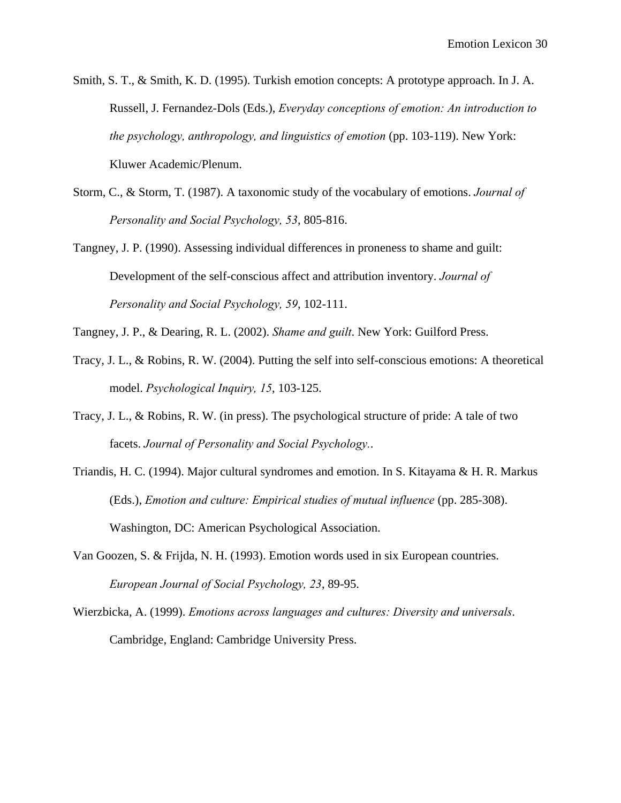Smith, S. T., & Smith, K. D. (1995). Turkish emotion concepts: A prototype approach. In J. A. Russell, J. Fernandez-Dols (Eds.), *Everyday conceptions of emotion: An introduction to the psychology, anthropology, and linguistics of emotion* (pp. 103-119). New York: Kluwer Academic/Plenum.

- Storm, C., & Storm, T. (1987). A taxonomic study of the vocabulary of emotions. *Journal of Personality and Social Psychology, 53*, 805-816.
- Tangney, J. P. (1990). Assessing individual differences in proneness to shame and guilt: Development of the self-conscious affect and attribution inventory. *Journal of Personality and Social Psychology, 59*, 102-111.
- Tangney, J. P., & Dearing, R. L. (2002). *Shame and guilt*. New York: Guilford Press.
- Tracy, J. L., & Robins, R. W. (2004). Putting the self into self-conscious emotions: A theoretical model. *Psychological Inquiry, 15*, 103-125.
- Tracy, J. L., & Robins, R. W. (in press). The psychological structure of pride: A tale of two facets. *Journal of Personality and Social Psychology.*.
- Triandis, H. C. (1994). Major cultural syndromes and emotion. In S. Kitayama & H. R. Markus (Eds.), *Emotion and culture: Empirical studies of mutual influence* (pp. 285-308). Washington, DC: American Psychological Association.
- Van Goozen, S. & Frijda, N. H. (1993). Emotion words used in six European countries. *European Journal of Social Psychology, 23*, 89-95.
- Wierzbicka, A. (1999). *Emotions across languages and cultures: Diversity and universals*. Cambridge, England: Cambridge University Press.